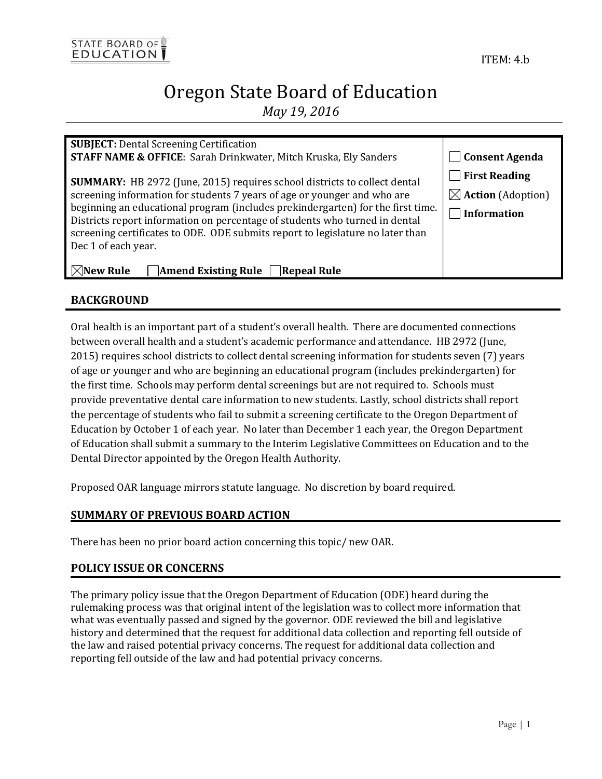## Oregon State Board of Education *May 19, 2016*

| <b>SUBJECT:</b> Dental Screening Certification                                                                                                                                                                                                                                                                                                                                                                                                                                                                   |                                                                      |
|------------------------------------------------------------------------------------------------------------------------------------------------------------------------------------------------------------------------------------------------------------------------------------------------------------------------------------------------------------------------------------------------------------------------------------------------------------------------------------------------------------------|----------------------------------------------------------------------|
| STAFF NAME & OFFICE: Sarah Drinkwater, Mitch Kruska, Ely Sanders                                                                                                                                                                                                                                                                                                                                                                                                                                                 | <b>Consent Agenda</b>                                                |
| <b>SUMMARY:</b> HB 2972 (June, 2015) requires school districts to collect dental<br>screening information for students 7 years of age or younger and who are<br>beginning an educational program (includes prekindergarten) for the first time.<br>Districts report information on percentage of students who turned in dental<br>screening certificates to ODE. ODE submits report to legislature no later than<br>Dec 1 of each year.<br>$\Box$ Amend Existing Rule $\Box$ Repeal Rule<br>$\boxtimes$ New Rule | $\Box$ First Reading<br>$\boxtimes$ Action (Adoption)<br>Information |
|                                                                                                                                                                                                                                                                                                                                                                                                                                                                                                                  |                                                                      |

#### **BACKGROUND**

Oral health is an important part of a student's overall health. There are documented connections between overall health and a student's academic performance and attendance. HB 2972 (June, 2015) requires school districts to collect dental screening information for students seven (7) years of age or younger and who are beginning an educational program (includes prekindergarten) for the first time. Schools may perform dental screenings but are not required to. Schools must provide preventative dental care information to new students. Lastly, school districts shall report the percentage of students who fail to submit a screening certificate to the Oregon Department of Education by October 1 of each year. No later than December 1 each year, the Oregon Department of Education shall submit a summary to the Interim Legislative Committees on Education and to the Dental Director appointed by the Oregon Health Authority.

Proposed OAR language mirrors statute language. No discretion by board required.

#### **SUMMARY OF PREVIOUS BOARD ACTION**

There has been no prior board action concerning this topic/ new OAR.

#### **POLICY ISSUE OR CONCERNS**

The primary policy issue that the Oregon Department of Education (ODE) heard during the rulemaking process was that original intent of the legislation was to collect more information that what was eventually passed and signed by the governor. ODE reviewed the bill and legislative history and determined that the request for additional data collection and reporting fell outside of the law and raised potential privacy concerns. The request for additional data collection and reporting fell outside of the law and had potential privacy concerns.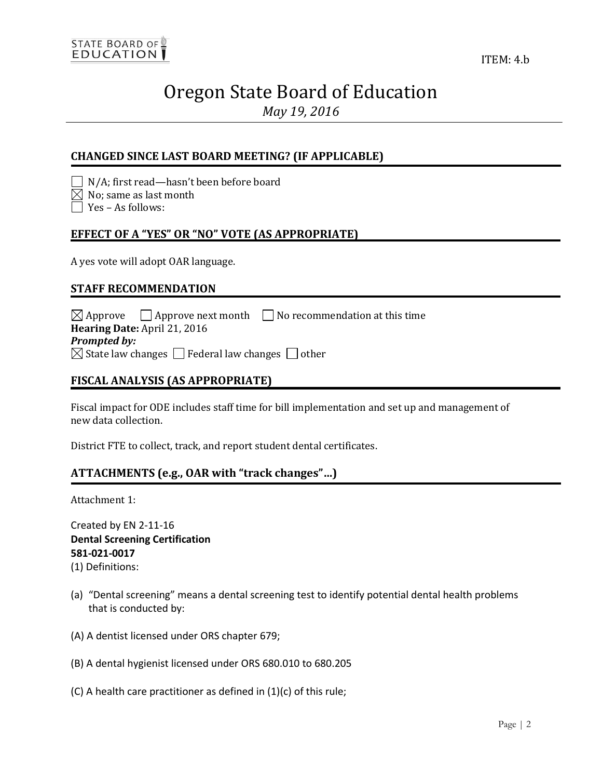# Oregon State Board of Education

*May 19, 2016*

#### **CHANGED SINCE LAST BOARD MEETING? (IF APPLICABLE)**

N/A; first read—hasn't been before board

 $\boxtimes$  No; same as last month

 $\Box$  Yes – As follows:

#### **EFFECT OF A "YES" OR "NO" VOTE (AS APPROPRIATE)**

A yes vote will adopt OAR language.

#### **STAFF RECOMMENDATION**

 $\boxtimes$  Approve  $\Box$  Approve next month  $\Box$  No recommendation at this time **Hearing Date:** April 21, 2016 *Prompted by:*   $\boxtimes$  State law changes  $\Box$  Federal law changes  $\Box$  other

#### **FISCAL ANALYSIS (AS APPROPRIATE)**

Fiscal impact for ODE includes staff time for bill implementation and set up and management of new data collection.

District FTE to collect, track, and report student dental certificates.

#### **ATTACHMENTS (e.g., OAR with "track changes"…)**

Attachment 1:

Created by EN 2-11-16 **Dental Screening Certification 581-021-0017**

(1) Definitions:

- (a) "Dental screening" means a dental screening test to identify potential dental health problems that is conducted by:
- (A) A dentist licensed under ORS chapter 679;
- (B) A dental hygienist licensed under ORS 680.010 to 680.205
- (C) A health care practitioner as defined in  $(1)(c)$  of this rule;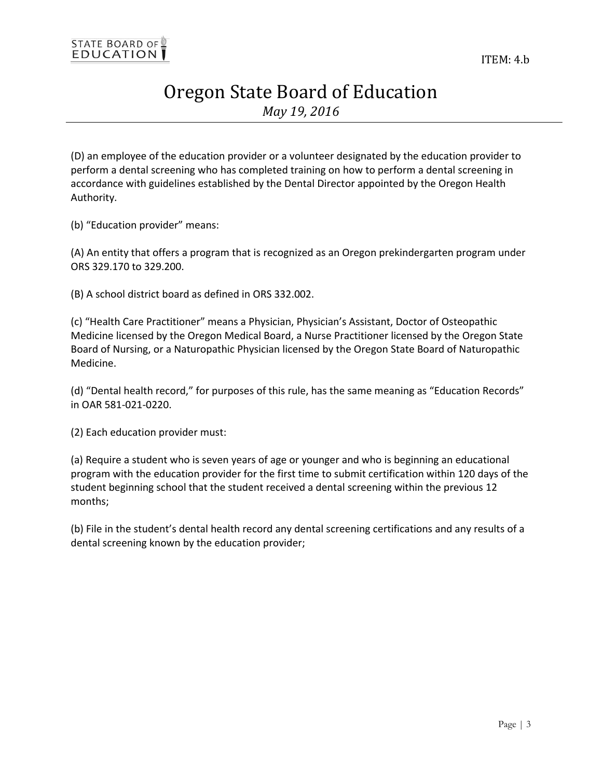## Oregon State Board of Education *May 19, 2016*

(D) an employee of the education provider or a volunteer designated by the education provider to perform a dental screening who has completed training on how to perform a dental screening in accordance with guidelines established by the Dental Director appointed by the Oregon Health Authority.

(b) "Education provider" means:

(A) An entity that offers a program that is recognized as an Oregon prekindergarten program under ORS 329.170 to 329.200.

(B) A school district board as defined in ORS 332.002.

(c) "Health Care Practitioner" means a Physician, Physician's Assistant, Doctor of Osteopathic Medicine licensed by the Oregon Medical Board, a Nurse Practitioner licensed by the Oregon State Board of Nursing, or a Naturopathic Physician licensed by the Oregon State Board of Naturopathic Medicine.

(d) "Dental health record," for purposes of this rule, has the same meaning as "Education Records" in OAR 581-021-0220.

(2) Each education provider must:

(a) Require a student who is seven years of age or younger and who is beginning an educational program with the education provider for the first time to submit certification within 120 days of the student beginning school that the student received a dental screening within the previous 12 months;

(b) File in the student's dental health record any dental screening certifications and any results of a dental screening known by the education provider;